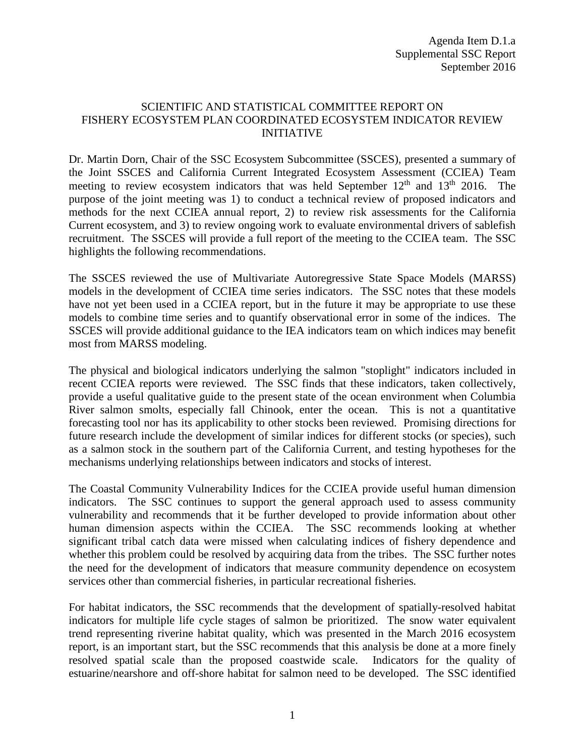## SCIENTIFIC AND STATISTICAL COMMITTEE REPORT ON FISHERY ECOSYSTEM PLAN COORDINATED ECOSYSTEM INDICATOR REVIEW INITIATIVE

Dr. Martin Dorn, Chair of the SSC Ecosystem Subcommittee (SSCES), presented a summary of the Joint SSCES and California Current Integrated Ecosystem Assessment (CCIEA) Team meeting to review ecosystem indicators that was held September  $12<sup>th</sup>$  and  $13<sup>th</sup>$  2016. The purpose of the joint meeting was 1) to conduct a technical review of proposed indicators and methods for the next CCIEA annual report, 2) to review risk assessments for the California Current ecosystem, and 3) to review ongoing work to evaluate environmental drivers of sablefish recruitment. The SSCES will provide a full report of the meeting to the CCIEA team. The SSC highlights the following recommendations.

The SSCES reviewed the use of Multivariate Autoregressive State Space Models (MARSS) models in the development of CCIEA time series indicators. The SSC notes that these models have not yet been used in a CCIEA report, but in the future it may be appropriate to use these models to combine time series and to quantify observational error in some of the indices. The SSCES will provide additional guidance to the IEA indicators team on which indices may benefit most from MARSS modeling.

The physical and biological indicators underlying the salmon "stoplight" indicators included in recent CCIEA reports were reviewed. The SSC finds that these indicators, taken collectively, provide a useful qualitative guide to the present state of the ocean environment when Columbia River salmon smolts, especially fall Chinook, enter the ocean. This is not a quantitative forecasting tool nor has its applicability to other stocks been reviewed. Promising directions for future research include the development of similar indices for different stocks (or species), such as a salmon stock in the southern part of the California Current, and testing hypotheses for the mechanisms underlying relationships between indicators and stocks of interest.

The Coastal Community Vulnerability Indices for the CCIEA provide useful human dimension indicators. The SSC continues to support the general approach used to assess community vulnerability and recommends that it be further developed to provide information about other human dimension aspects within the CCIEA. The SSC recommends looking at whether significant tribal catch data were missed when calculating indices of fishery dependence and whether this problem could be resolved by acquiring data from the tribes. The SSC further notes the need for the development of indicators that measure community dependence on ecosystem services other than commercial fisheries, in particular recreational fisheries*.*

For habitat indicators, the SSC recommends that the development of spatially-resolved habitat indicators for multiple life cycle stages of salmon be prioritized. The snow water equivalent trend representing riverine habitat quality, which was presented in the March 2016 ecosystem report, is an important start, but the SSC recommends that this analysis be done at a more finely resolved spatial scale than the proposed coastwide scale. Indicators for the quality of estuarine/nearshore and off-shore habitat for salmon need to be developed. The SSC identified